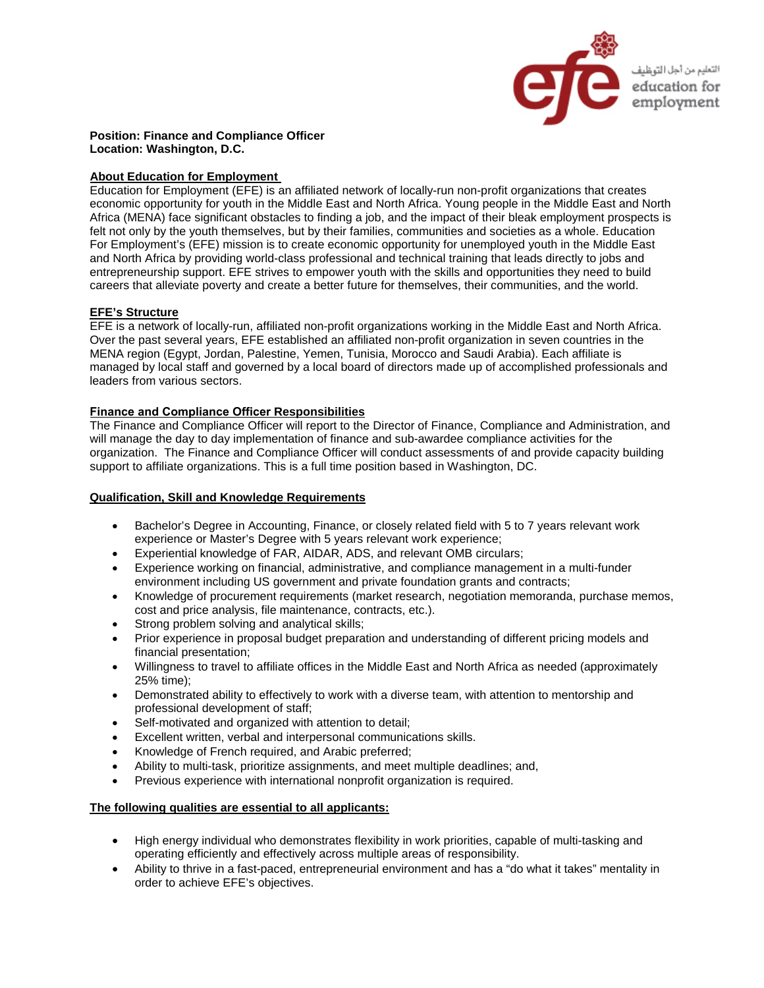

**Position: Finance and Compliance Officer Location: Washington, D.C.** 

# **About Education for Employment**

Education for Employment (EFE) is an affiliated network of locally-run non-profit organizations that creates economic opportunity for youth in the Middle East and North Africa. Young people in the Middle East and North Africa (MENA) face significant obstacles to finding a job, and the impact of their bleak employment prospects is felt not only by the youth themselves, but by their families, communities and societies as a whole. Education For Employment's (EFE) mission is to create economic opportunity for unemployed youth in the Middle East and North Africa by providing world-class professional and technical training that leads directly to jobs and entrepreneurship support. EFE strives to empower youth with the skills and opportunities they need to build careers that alleviate poverty and create a better future for themselves, their communities, and the world.

## **EFE's Structure**

EFE is a network of locally-run, affiliated non-profit organizations working in the Middle East and North Africa. Over the past several years, EFE established an affiliated non-profit organization in seven countries in the MENA region (Egypt, Jordan, Palestine, Yemen, Tunisia, Morocco and Saudi Arabia). Each affiliate is managed by local staff and governed by a local board of directors made up of accomplished professionals and leaders from various sectors.

## **Finance and Compliance Officer Responsibilities**

The Finance and Compliance Officer will report to the Director of Finance, Compliance and Administration, and will manage the day to day implementation of finance and sub-awardee compliance activities for the organization. The Finance and Compliance Officer will conduct assessments of and provide capacity building support to affiliate organizations. This is a full time position based in Washington, DC.

# **Qualification, Skill and Knowledge Requirements**

- Bachelor's Degree in Accounting, Finance, or closely related field with 5 to 7 years relevant work experience or Master's Degree with 5 years relevant work experience;
- Experiential knowledge of FAR, AIDAR, ADS, and relevant OMB circulars;
- Experience working on financial, administrative, and compliance management in a multi-funder environment including US government and private foundation grants and contracts;
- Knowledge of procurement requirements (market research, negotiation memoranda, purchase memos, cost and price analysis, file maintenance, contracts, etc.).
- Strong problem solving and analytical skills;
- Prior experience in proposal budget preparation and understanding of different pricing models and financial presentation;
- Willingness to travel to affiliate offices in the Middle East and North Africa as needed (approximately 25% time);
- Demonstrated ability to effectively to work with a diverse team, with attention to mentorship and professional development of staff;
- Self-motivated and organized with attention to detail;
- Excellent written, verbal and interpersonal communications skills.
- Knowledge of French required, and Arabic preferred;
- Ability to multi-task, prioritize assignments, and meet multiple deadlines; and,
- Previous experience with international nonprofit organization is required.

### **The following qualities are essential to all applicants:**

- High energy individual who demonstrates flexibility in work priorities, capable of multi-tasking and operating efficiently and effectively across multiple areas of responsibility.
- Ability to thrive in a fast-paced, entrepreneurial environment and has a "do what it takes" mentality in order to achieve EFE's objectives.